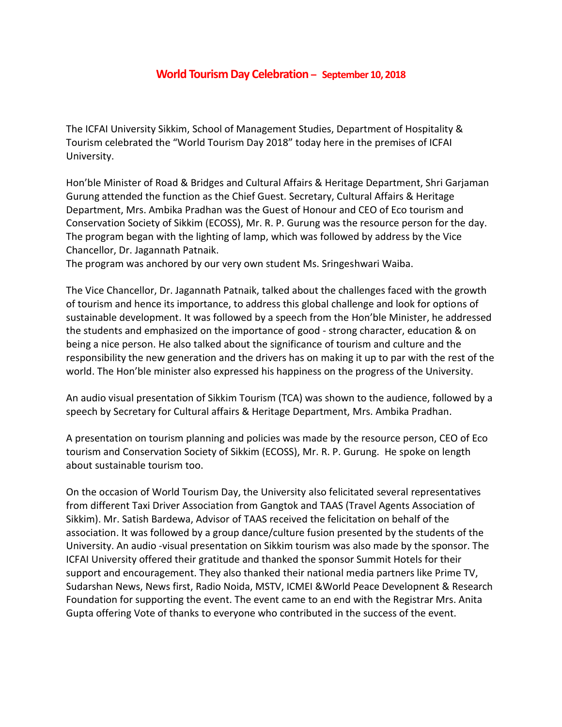The ICFAI University Sikkim, School of Management Studies, Department of Hospitality & Tourism celebrated the "World Tourism Day 2018" today here in the premises of ICFAI University.

Hon'ble Minister of Road & Bridges and Cultural Affairs & Heritage Department, Shri Garjaman Gurung attended the function as the Chief Guest. Secretary, Cultural Affairs & Heritage Department, Mrs. Ambika Pradhan was the Guest of Honour and CEO of Eco tourism and Conservation Society of Sikkim (ECOSS), Mr. R. P. Gurung was the resource person for the day. The program began with the lighting of lamp, which was followed by address by the Vice Chancellor, Dr. Jagannath Patnaik.

The program was anchored by our very own student Ms. Sringeshwari Waiba.

The Vice Chancellor, Dr. Jagannath Patnaik, talked about the challenges faced with the growth of tourism and hence its importance, to address this global challenge and look for options of sustainable development. It was followed by a speech from the Hon'ble Minister, he addressed the students and emphasized on the importance of good - strong character, education & on being a nice person. He also talked about the significance of tourism and culture and the responsibility the new generation and the drivers has on making it up to par with the rest of the world. The Hon'ble minister also expressed his happiness on the progress of the University.

An audio visual presentation of Sikkim Tourism (TCA) was shown to the audience, followed by a speech by Secretary for Cultural affairs & Heritage Department, Mrs. Ambika Pradhan.

A presentation on tourism planning and policies was made by the resource person, CEO of Eco tourism and Conservation Society of Sikkim (ECOSS), Mr. R. P. Gurung. He spoke on length about sustainable tourism too.

On the occasion of World Tourism Day, the University also felicitated several representatives from different Taxi Driver Association from Gangtok and TAAS (Travel Agents Association of Sikkim). Mr. Satish Bardewa, Advisor of TAAS received the felicitation on behalf of the association. It was followed by a group dance/culture fusion presented by the students of the University. An audio -visual presentation on Sikkim tourism was also made by the sponsor. The ICFAI University offered their gratitude and thanked the sponsor Summit Hotels for their support and encouragement. They also thanked their national media partners like Prime TV, Sudarshan News, News first, Radio Noida, MSTV, ICMEI &World Peace Developnent & Research Foundation for supporting the event. The event came to an end with the Registrar Mrs. Anita Gupta offering Vote of thanks to everyone who contributed in the success of the event.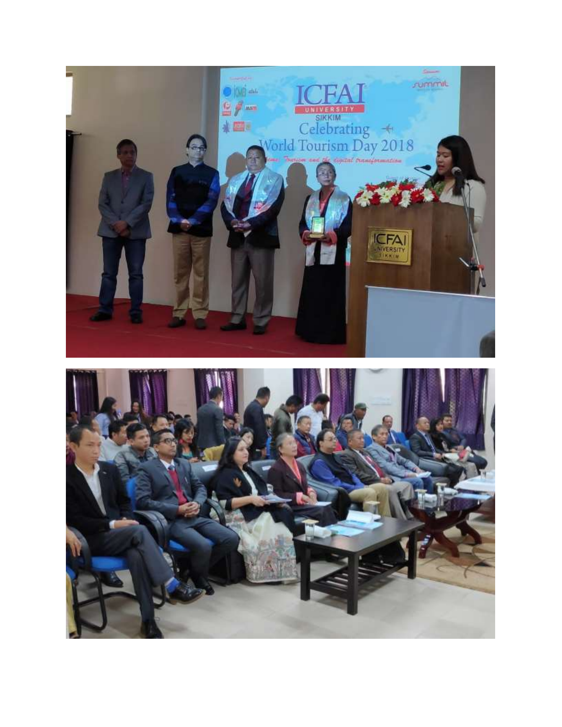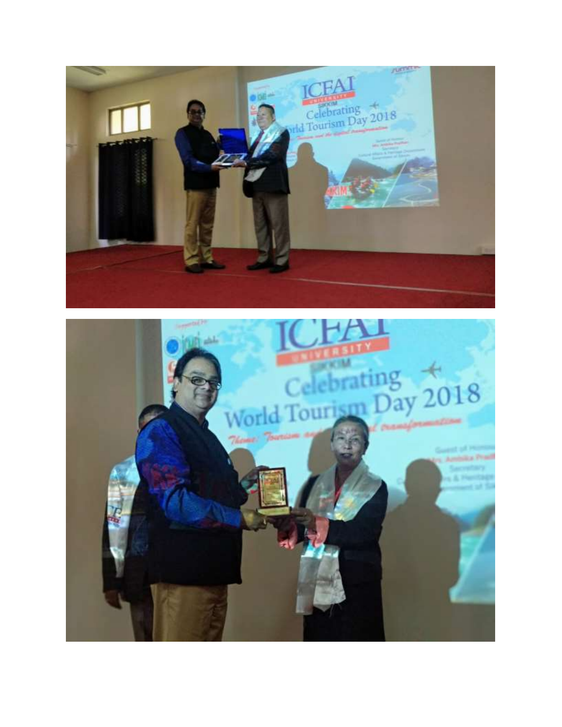